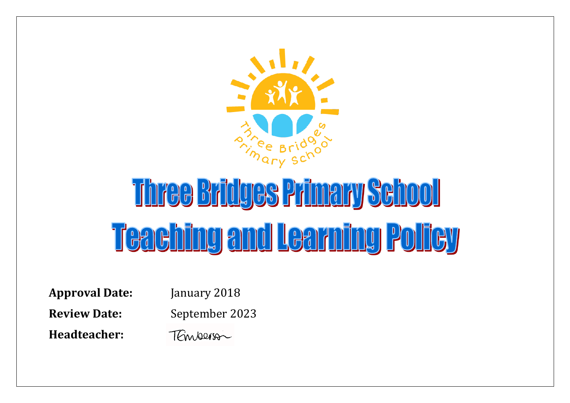

## Three Bridges Primary School Teaching and Learning Policy

**Approval Date:** January 2018 **Review Date:** September 2023 **Headteacher:** 

TEmperson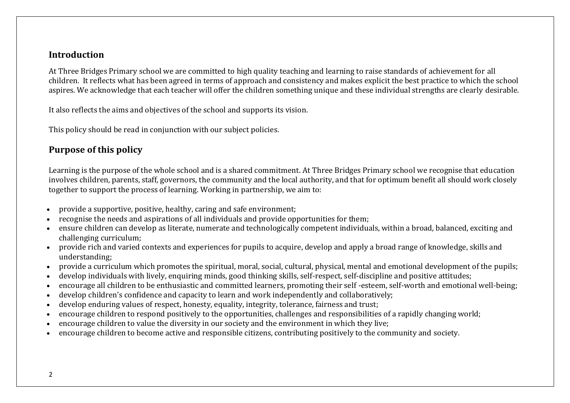## **Introduction**

At Three Bridges Primary school we are committed to high quality teaching and learning to raise standards of achievement for all children. It reflects what has been agreed in terms of approach and consistency and makes explicit the best practice to which the school aspires. We acknowledge that each teacher will offer the children something unique and these individual strengths are clearly desirable.

It also reflects the aims and objectives of the school and supports its vision.

This policy should be read in conjunction with our subject policies.

## **Purpose of this policy**

Learning is the purpose of the whole school and is a shared commitment. At Three Bridges Primary school we recognise that education involves children, parents, staff, governors, the community and the local authority, and that for optimum benefit all should work closely together to support the process of learning. Working in partnership, we aim to:

- provide a supportive, positive, healthy, caring and safe environment;
- recognise the needs and aspirations of all individuals and provide opportunities for them;
- ensure children can develop as literate, numerate and technologically competent individuals, within a broad, balanced, exciting and challenging curriculum;
- provide rich and varied contexts and experiences for pupils to acquire, develop and apply a broad range of knowledge, skills and understanding;
- provide a curriculum which promotes the spiritual, moral, social, cultural, physical, mental and emotional development of the pupils;
- develop individuals with lively, enquiring minds, good thinking skills, self-respect, self-discipline and positive attitudes;
- encourage all children to be enthusiastic and committed learners, promoting their self -esteem, self-worth and emotional well-being;
- develop children's confidence and capacity to learn and work independently and collaboratively;
- develop enduring values of respect, honesty, equality, integrity, tolerance, fairness and trust;
- encourage children to respond positively to the opportunities, challenges and responsibilities of a rapidly changing world;
- encourage children to value the diversity in our society and the environment in which they live;
- encourage children to become active and responsible citizens, contributing positively to the community and society.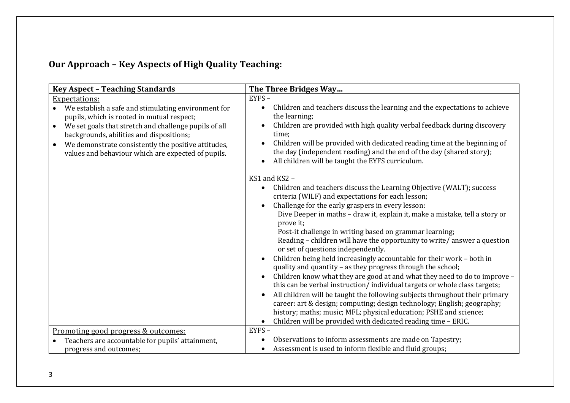## **Our Approach – Key Aspects of High Quality Teaching:**

| <b>Key Aspect - Teaching Standards</b>                                                                                                                                                                                                                                                                                                        | The Three Bridges Way                                                                                                                                                                                                                                                                                                                                                                                                                                                                                                                                                                                                                                                       |
|-----------------------------------------------------------------------------------------------------------------------------------------------------------------------------------------------------------------------------------------------------------------------------------------------------------------------------------------------|-----------------------------------------------------------------------------------------------------------------------------------------------------------------------------------------------------------------------------------------------------------------------------------------------------------------------------------------------------------------------------------------------------------------------------------------------------------------------------------------------------------------------------------------------------------------------------------------------------------------------------------------------------------------------------|
| <b>Expectations:</b>                                                                                                                                                                                                                                                                                                                          | EYFS-                                                                                                                                                                                                                                                                                                                                                                                                                                                                                                                                                                                                                                                                       |
| We establish a safe and stimulating environment for<br>pupils, which is rooted in mutual respect;<br>We set goals that stretch and challenge pupils of all<br>$\bullet$<br>backgrounds, abilities and dispositions;<br>We demonstrate consistently the positive attitudes,<br>$\bullet$<br>values and behaviour which are expected of pupils. | Children and teachers discuss the learning and the expectations to achieve<br>the learning;<br>Children are provided with high quality verbal feedback during discovery<br>time;<br>Children will be provided with dedicated reading time at the beginning of<br>the day (independent reading) and the end of the day (shared story);<br>All children will be taught the EYFS curriculum.                                                                                                                                                                                                                                                                                   |
|                                                                                                                                                                                                                                                                                                                                               | KS1 and KS2 -                                                                                                                                                                                                                                                                                                                                                                                                                                                                                                                                                                                                                                                               |
|                                                                                                                                                                                                                                                                                                                                               | Children and teachers discuss the Learning Objective (WALT); success<br>criteria (WILF) and expectations for each lesson;<br>Challenge for the early graspers in every lesson:<br>Dive Deeper in maths - draw it, explain it, make a mistake, tell a story or<br>prove it;<br>Post-it challenge in writing based on grammar learning;<br>Reading - children will have the opportunity to write/answer a question<br>or set of questions independently.<br>Children being held increasingly accountable for their work - both in<br>quality and quantity - as they progress through the school;<br>Children know what they are good at and what they need to do to improve - |
|                                                                                                                                                                                                                                                                                                                                               | this can be verbal instruction/individual targets or whole class targets;                                                                                                                                                                                                                                                                                                                                                                                                                                                                                                                                                                                                   |
|                                                                                                                                                                                                                                                                                                                                               | All children will be taught the following subjects throughout their primary<br>career: art & design; computing; design technology; English; geography;<br>history; maths; music; MFL; physical education; PSHE and science;<br>Children will be provided with dedicated reading time - ERIC.                                                                                                                                                                                                                                                                                                                                                                                |
| <u>Promoting good progress &amp; outcomes:</u>                                                                                                                                                                                                                                                                                                | EYFS-                                                                                                                                                                                                                                                                                                                                                                                                                                                                                                                                                                                                                                                                       |
| Teachers are accountable for pupils' attainment,                                                                                                                                                                                                                                                                                              | Observations to inform assessments are made on Tapestry;                                                                                                                                                                                                                                                                                                                                                                                                                                                                                                                                                                                                                    |
| progress and outcomes;                                                                                                                                                                                                                                                                                                                        | Assessment is used to inform flexible and fluid groups;                                                                                                                                                                                                                                                                                                                                                                                                                                                                                                                                                                                                                     |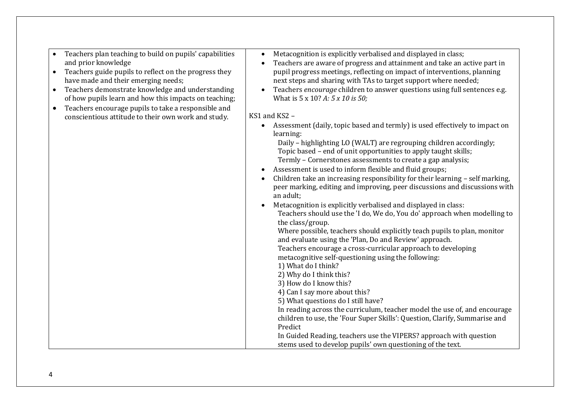|           | Teachers plan teaching to build on pupils' capabilities | Metacognition is explicitly verbalised and displayed in class;<br>$\bullet$              |
|-----------|---------------------------------------------------------|------------------------------------------------------------------------------------------|
|           | and prior knowledge                                     | Teachers are aware of progress and attainment and take an active part in                 |
| $\bullet$ | Teachers guide pupils to reflect on the progress they   | pupil progress meetings, reflecting on impact of interventions, planning                 |
|           | have made and their emerging needs;                     | next steps and sharing with TAs to target support where needed;                          |
| $\bullet$ | Teachers demonstrate knowledge and understanding        | Teachers encourage children to answer questions using full sentences e.g.<br>$\bullet$   |
|           | of how pupils learn and how this impacts on teaching;   | What is 5 x 10? A: 5 x 10 is 50;                                                         |
| $\bullet$ | Teachers encourage pupils to take a responsible and     |                                                                                          |
|           | conscientious attitude to their own work and study.     | KS1 and KS2 -                                                                            |
|           |                                                         | Assessment (daily, topic based and termly) is used effectively to impact on<br>$\bullet$ |
|           |                                                         | learning:                                                                                |
|           |                                                         | Daily - highlighting LO (WALT) are regrouping children accordingly;                      |
|           |                                                         | Topic based - end of unit opportunities to apply taught skills;                          |
|           |                                                         | Termly - Cornerstones assessments to create a gap analysis;                              |
|           |                                                         | Assessment is used to inform flexible and fluid groups;<br>٠                             |
|           |                                                         |                                                                                          |
|           |                                                         | Children take an increasing responsibility for their learning - self marking,            |
|           |                                                         | peer marking, editing and improving, peer discussions and discussions with               |
|           |                                                         | an adult;                                                                                |
|           |                                                         | Metacognition is explicitly verbalised and displayed in class:                           |
|           |                                                         | Teachers should use the 'I do, We do, You do' approach when modelling to                 |
|           |                                                         | the class/group.                                                                         |
|           |                                                         | Where possible, teachers should explicitly teach pupils to plan, monitor                 |
|           |                                                         | and evaluate using the 'Plan, Do and Review' approach.                                   |
|           |                                                         | Teachers encourage a cross-curricular approach to developing                             |
|           |                                                         | metacognitive self-questioning using the following:                                      |
|           |                                                         | 1) What do I think?                                                                      |
|           |                                                         |                                                                                          |
|           |                                                         | 2) Why do I think this?                                                                  |
|           |                                                         | 3) How do I know this?                                                                   |
|           |                                                         | 4) Can I say more about this?                                                            |
|           |                                                         | 5) What questions do I still have?                                                       |
|           |                                                         | In reading across the curriculum, teacher model the use of, and encourage                |
|           |                                                         | children to use, the 'Four Super Skills': Question, Clarify, Summarise and               |
|           |                                                         | Predict                                                                                  |
|           |                                                         | In Guided Reading, teachers use the VIPERS? approach with question                       |
|           |                                                         | stems used to develop pupils' own questioning of the text.                               |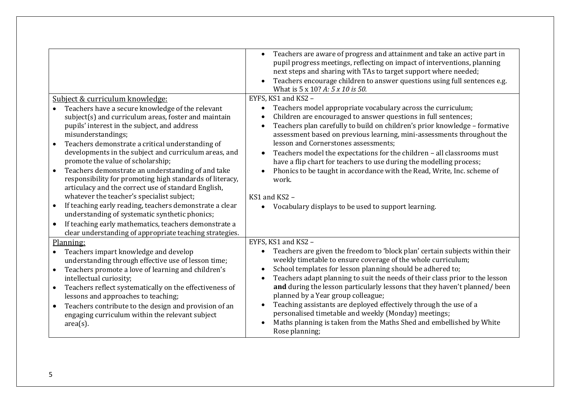| Subject & curriculum knowledge:<br>Teachers have a secure knowledge of the relevant<br>subject(s) and curriculum areas, foster and maintain<br>pupils' interest in the subject, and address<br>misunderstandings;<br>Teachers demonstrate a critical understanding of<br>$\bullet$<br>developments in the subject and curriculum areas, and<br>promote the value of scholarship;<br>Teachers demonstrate an understanding of and take<br>$\bullet$<br>responsibility for promoting high standards of literacy,<br>articulacy and the correct use of standard English,<br>whatever the teacher's specialist subject;<br>If teaching early reading, teachers demonstrate a clear<br>$\bullet$<br>understanding of systematic synthetic phonics; | Teachers are aware of progress and attainment and take an active part in<br>pupil progress meetings, reflecting on impact of interventions, planning<br>next steps and sharing with TAs to target support where needed;<br>Teachers encourage children to answer questions using full sentences e.g.<br>What is 5 x 10? A: 5 x 10 is 50.<br>EYFS, KS1 and KS2 -<br>Teachers model appropriate vocabulary across the curriculum;<br>Children are encouraged to answer questions in full sentences;<br>Teachers plan carefully to build on children's prior knowledge - formative<br>assessment based on previous learning, mini-assessments throughout the<br>lesson and Cornerstones assessments;<br>Teachers model the expectations for the children - all classrooms must<br>$\bullet$<br>have a flip chart for teachers to use during the modelling process;<br>Phonics to be taught in accordance with the Read, Write, Inc. scheme of<br>work.<br>KS1 and KS2 -<br>Vocabulary displays to be used to support learning. |
|-----------------------------------------------------------------------------------------------------------------------------------------------------------------------------------------------------------------------------------------------------------------------------------------------------------------------------------------------------------------------------------------------------------------------------------------------------------------------------------------------------------------------------------------------------------------------------------------------------------------------------------------------------------------------------------------------------------------------------------------------|-----------------------------------------------------------------------------------------------------------------------------------------------------------------------------------------------------------------------------------------------------------------------------------------------------------------------------------------------------------------------------------------------------------------------------------------------------------------------------------------------------------------------------------------------------------------------------------------------------------------------------------------------------------------------------------------------------------------------------------------------------------------------------------------------------------------------------------------------------------------------------------------------------------------------------------------------------------------------------------------------------------------------------|
| $\bullet$                                                                                                                                                                                                                                                                                                                                                                                                                                                                                                                                                                                                                                                                                                                                     |                                                                                                                                                                                                                                                                                                                                                                                                                                                                                                                                                                                                                                                                                                                                                                                                                                                                                                                                                                                                                             |
| If teaching early mathematics, teachers demonstrate a<br>clear understanding of appropriate teaching strategies.                                                                                                                                                                                                                                                                                                                                                                                                                                                                                                                                                                                                                              |                                                                                                                                                                                                                                                                                                                                                                                                                                                                                                                                                                                                                                                                                                                                                                                                                                                                                                                                                                                                                             |
| Planning:                                                                                                                                                                                                                                                                                                                                                                                                                                                                                                                                                                                                                                                                                                                                     | EYFS, KS1 and KS2 -                                                                                                                                                                                                                                                                                                                                                                                                                                                                                                                                                                                                                                                                                                                                                                                                                                                                                                                                                                                                         |
| Teachers impart knowledge and develop<br>$\bullet$<br>understanding through effective use of lesson time;                                                                                                                                                                                                                                                                                                                                                                                                                                                                                                                                                                                                                                     | Teachers are given the freedom to 'block plan' certain subjects within their<br>$\bullet$<br>weekly timetable to ensure coverage of the whole curriculum;                                                                                                                                                                                                                                                                                                                                                                                                                                                                                                                                                                                                                                                                                                                                                                                                                                                                   |
| Teachers promote a love of learning and children's<br>$\bullet$<br>intellectual curiosity;                                                                                                                                                                                                                                                                                                                                                                                                                                                                                                                                                                                                                                                    | School templates for lesson planning should be adhered to;<br>Teachers adapt planning to suit the needs of their class prior to the lesson                                                                                                                                                                                                                                                                                                                                                                                                                                                                                                                                                                                                                                                                                                                                                                                                                                                                                  |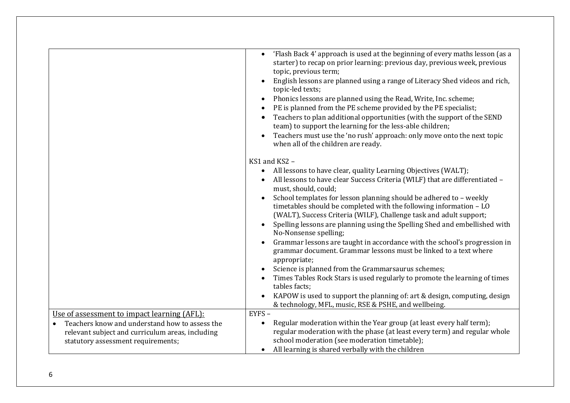|                                                  | 'Flash Back 4' approach is used at the beginning of every maths lesson (as a                                                             |
|--------------------------------------------------|------------------------------------------------------------------------------------------------------------------------------------------|
|                                                  | starter) to recap on prior learning: previous day, previous week, previous                                                               |
|                                                  | topic, previous term;                                                                                                                    |
|                                                  | English lessons are planned using a range of Literacy Shed videos and rich,                                                              |
|                                                  | topic-led texts;                                                                                                                         |
|                                                  | Phonics lessons are planned using the Read, Write, Inc. scheme;<br>PE is planned from the PE scheme provided by the PE specialist;       |
|                                                  | Teachers to plan additional opportunities (with the support of the SEND                                                                  |
|                                                  | team) to support the learning for the less-able children;                                                                                |
|                                                  | Teachers must use the 'no rush' approach: only move onto the next topic                                                                  |
|                                                  | when all of the children are ready.                                                                                                      |
|                                                  | KS1 and KS2 -                                                                                                                            |
|                                                  | All lessons to have clear, quality Learning Objectives (WALT);                                                                           |
|                                                  | All lessons to have clear Success Criteria (WILF) that are differentiated -                                                              |
|                                                  | must, should, could;                                                                                                                     |
|                                                  | School templates for lesson planning should be adhered to - weekly<br>timetables should be completed with the following information - LO |
|                                                  | (WALT), Success Criteria (WILF), Challenge task and adult support;                                                                       |
|                                                  | Spelling lessons are planning using the Spelling Shed and embellished with                                                               |
|                                                  | No-Nonsense spelling;                                                                                                                    |
|                                                  | Grammar lessons are taught in accordance with the school's progression in                                                                |
|                                                  | grammar document. Grammar lessons must be linked to a text where                                                                         |
|                                                  | appropriate;<br>Science is planned from the Grammarsaurus schemes;                                                                       |
|                                                  | Times Tables Rock Stars is used regularly to promote the learning of times                                                               |
|                                                  | tables facts:                                                                                                                            |
|                                                  | KAPOW is used to support the planning of: art & design, computing, design                                                                |
|                                                  | & technology, MFL, music, RSE & PSHE, and wellbeing.                                                                                     |
| Use of assessment to impact learning (AFL):      | EYFS-                                                                                                                                    |
| Teachers know and understand how to assess the   | Regular moderation within the Year group (at least every half term);                                                                     |
| relevant subject and curriculum areas, including | regular moderation with the phase (at least every term) and regular whole<br>school moderation (see moderation timetable);               |
| statutory assessment requirements;               | All learning is shared verbally with the children                                                                                        |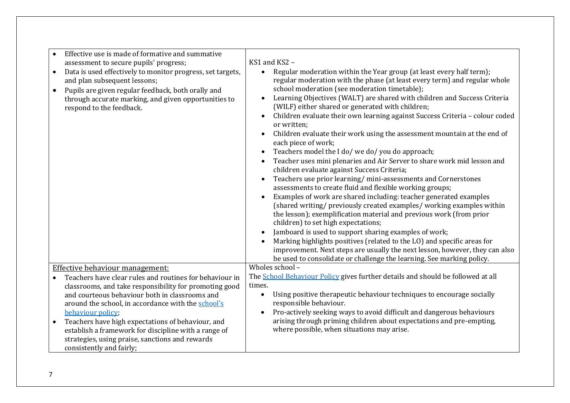| Effective use is made of formative and summative<br>assessment to secure pupils' progress;<br>Data is used effectively to monitor progress, set targets,<br>$\bullet$<br>and plan subsequent lessons;<br>Pupils are given regular feedback, both orally and<br>$\bullet$<br>through accurate marking, and given opportunities to<br>respond to the feedback.                                                                                            | KS1 and KS2 -<br>Regular moderation within the Year group (at least every half term);<br>regular moderation with the phase (at least every term) and regular whole<br>school moderation (see moderation timetable);<br>Learning Objectives (WALT) are shared with children and Success Criteria<br>(WILF) either shared or generated with children;<br>Children evaluate their own learning against Success Criteria - colour coded<br>$\bullet$<br>or written;<br>Children evaluate their work using the assessment mountain at the end of<br>each piece of work;<br>Teachers model the I do/ we do/ you do approach;<br>$\bullet$<br>Teacher uses mini plenaries and Air Server to share work mid lesson and<br>children evaluate against Success Criteria;<br>Teachers use prior learning/mini-assessments and Cornerstones<br>assessments to create fluid and flexible working groups;<br>Examples of work are shared including: teacher generated examples<br>(shared writing/ previously created examples/ working examples within<br>the lesson); exemplification material and previous work (from prior<br>children) to set high expectations;<br>Jamboard is used to support sharing examples of work;<br>Marking highlights positives (related to the LO) and specific areas for<br>improvement. Next steps are usually the next lesson, however, they can also<br>be used to consolidate or challenge the learning. See marking policy. |
|---------------------------------------------------------------------------------------------------------------------------------------------------------------------------------------------------------------------------------------------------------------------------------------------------------------------------------------------------------------------------------------------------------------------------------------------------------|----------------------------------------------------------------------------------------------------------------------------------------------------------------------------------------------------------------------------------------------------------------------------------------------------------------------------------------------------------------------------------------------------------------------------------------------------------------------------------------------------------------------------------------------------------------------------------------------------------------------------------------------------------------------------------------------------------------------------------------------------------------------------------------------------------------------------------------------------------------------------------------------------------------------------------------------------------------------------------------------------------------------------------------------------------------------------------------------------------------------------------------------------------------------------------------------------------------------------------------------------------------------------------------------------------------------------------------------------------------------------------------------------------------------------------------------------|
| Effective behaviour management:                                                                                                                                                                                                                                                                                                                                                                                                                         | Wholes school -                                                                                                                                                                                                                                                                                                                                                                                                                                                                                                                                                                                                                                                                                                                                                                                                                                                                                                                                                                                                                                                                                                                                                                                                                                                                                                                                                                                                                                    |
| Teachers have clear rules and routines for behaviour in<br>classrooms, and take responsibility for promoting good<br>and courteous behaviour both in classrooms and<br>around the school, in accordance with the school's<br>behaviour policy;<br>Teachers have high expectations of behaviour, and<br>$\bullet$<br>establish a framework for discipline with a range of<br>strategies, using praise, sanctions and rewards<br>consistently and fairly; | The <b>School Behaviour Policy</b> gives further details and should be followed at all<br>times.<br>Using positive therapeutic behaviour techniques to encourage socially<br>$\bullet$<br>responsible behaviour.<br>Pro-actively seeking ways to avoid difficult and dangerous behaviours<br>arising through priming children about expectations and pre-empting,<br>where possible, when situations may arise.                                                                                                                                                                                                                                                                                                                                                                                                                                                                                                                                                                                                                                                                                                                                                                                                                                                                                                                                                                                                                                    |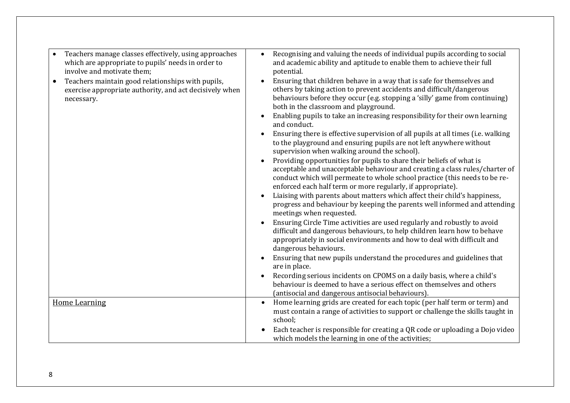| Teachers manage classes effectively, using approaches<br>$\bullet$<br>which are appropriate to pupils' needs in order to<br>involve and motivate them:<br>Teachers maintain good relationships with pupils,<br>$\bullet$<br>exercise appropriate authority, and act decisively when<br>necessary. | Recognising and valuing the needs of individual pupils according to social<br>and academic ability and aptitude to enable them to achieve their full<br>potential.<br>Ensuring that children behave in a way that is safe for themselves and<br>others by taking action to prevent accidents and difficult/dangerous<br>behaviours before they occur (e.g. stopping a 'silly' game from continuing)<br>both in the classroom and playground.<br>Enabling pupils to take an increasing responsibility for their own learning<br>and conduct.<br>Ensuring there is effective supervision of all pupils at all times (i.e. walking<br>to the playground and ensuring pupils are not left anywhere without<br>supervision when walking around the school).<br>Providing opportunities for pupils to share their beliefs of what is<br>acceptable and unacceptable behaviour and creating a class rules/charter of<br>conduct which will permeate to whole school practice (this needs to be re-<br>enforced each half term or more regularly, if appropriate).<br>Liaising with parents about matters which affect their child's happiness,<br>progress and behaviour by keeping the parents well informed and attending<br>meetings when requested.<br>Ensuring Circle Time activities are used regularly and robustly to avoid<br>difficult and dangerous behaviours, to help children learn how to behave<br>appropriately in social environments and how to deal with difficult and<br>dangerous behaviours.<br>Ensuring that new pupils understand the procedures and guidelines that<br>are in place.<br>Recording serious incidents on CPOMS on a daily basis, where a child's<br>behaviour is deemed to have a serious effect on themselves and others<br>(antisocial and dangerous antisocial behaviours). |
|---------------------------------------------------------------------------------------------------------------------------------------------------------------------------------------------------------------------------------------------------------------------------------------------------|-----------------------------------------------------------------------------------------------------------------------------------------------------------------------------------------------------------------------------------------------------------------------------------------------------------------------------------------------------------------------------------------------------------------------------------------------------------------------------------------------------------------------------------------------------------------------------------------------------------------------------------------------------------------------------------------------------------------------------------------------------------------------------------------------------------------------------------------------------------------------------------------------------------------------------------------------------------------------------------------------------------------------------------------------------------------------------------------------------------------------------------------------------------------------------------------------------------------------------------------------------------------------------------------------------------------------------------------------------------------------------------------------------------------------------------------------------------------------------------------------------------------------------------------------------------------------------------------------------------------------------------------------------------------------------------------------------------------------------------------------------------------------------------------------------------------|
| <b>Home Learning</b>                                                                                                                                                                                                                                                                              | Home learning grids are created for each topic (per half term or term) and<br>must contain a range of activities to support or challenge the skills taught in<br>school;<br>Each teacher is responsible for creating a QR code or uploading a Dojo video<br>which models the learning in one of the activities;                                                                                                                                                                                                                                                                                                                                                                                                                                                                                                                                                                                                                                                                                                                                                                                                                                                                                                                                                                                                                                                                                                                                                                                                                                                                                                                                                                                                                                                                                                 |